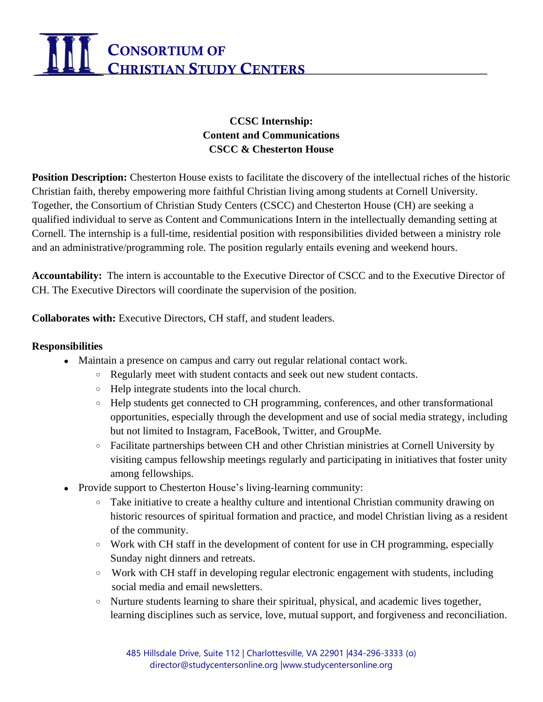# CONSORTIUM OF **CHRISTIAN STUDY CENTERS**

## **CCSC Internship: Content and Communications CSCC & Chesterton House**

**Position Description:** Chesterton House exists to facilitate the discovery of the intellectual riches of the historic Christian faith, thereby empowering more faithful Christian living among students at Cornell University. Together, the Consortium of Christian Study Centers (CSCC) and Chesterton House (CH) are seeking a qualified individual to serve as Content and Communications Intern in the intellectually demanding setting at Cornell. The internship is a full-time, residential position with responsibilities divided between a ministry role and an administrative/programming role. The position regularly entails evening and weekend hours.

**Accountability:** The intern is accountable to the Executive Director of CSCC and to the Executive Director of CH. The Executive Directors will coordinate the supervision of the position.

**Collaborates with:** Executive Directors, CH staff, and student leaders.

#### **Responsibilities**

- Maintain a presence on campus and carry out regular relational contact work.
	- Regularly meet with student contacts and seek out new student contacts.
	- Help integrate students into the local church.
	- Help students get connected to CH programming, conferences, and other transformational opportunities, especially through the development and use of social media strategy, including but not limited to Instagram, FaceBook, Twitter, and GroupMe.
	- Facilitate partnerships between CH and other Christian ministries at Cornell University by visiting campus fellowship meetings regularly and participating in initiatives that foster unity among fellowships.
- Provide support to Chesterton House's living-learning community:
	- Take initiative to create a healthy culture and intentional Christian community drawing on historic resources of spiritual formation and practice, and model Christian living as a resident of the community.
	- Work with CH staff in the development of content for use in CH programming, especially Sunday night dinners and retreats.
	- Work with CH staff in developing regular electronic engagement with students, including social media and email newsletters.
	- Nurture students learning to share their spiritual, physical, and academic lives together, learning disciplines such as service, love, mutual support, and forgiveness and reconciliation.